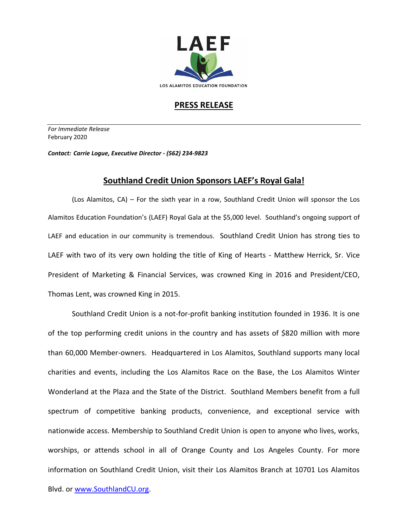

## **PRESS RELEASE**

*For Immediate Release*  February 2020

*Contact: Carrie Logue, Executive Director - (562) 234-9823*

## **Southland Credit Union Sponsors LAEF's Royal Gala!**

(Los Alamitos, CA) – For the sixth year in a row, Southland Credit Union will sponsor the Los Alamitos Education Foundation's (LAEF) Royal Gala at the \$5,000 level. Southland's ongoing support of LAEF and education in our community is tremendous. Southland Credit Union has strong ties to LAEF with two of its very own holding the title of King of Hearts - Matthew Herrick, Sr. Vice President of Marketing & Financial Services, was crowned King in 2016 and President/CEO, Thomas Lent, was crowned King in 2015.

Southland Credit Union is a not-for-profit banking institution founded in 1936. It is one of the top performing credit unions in the country and has assets of \$820 million with more than 60,000 Member-owners. Headquartered in Los Alamitos, Southland supports many local charities and events, including the Los Alamitos Race on the Base, the Los Alamitos Winter Wonderland at the Plaza and the State of the District. Southland Members benefit from a full spectrum of competitive banking products, convenience, and exceptional service with nationwide access. Membership to Southland Credit Union is open to anyone who lives, works, worships, or attends school in all of Orange County and Los Angeles County. For more information on Southland Credit Union, visit their Los Alamitos Branch at 10701 Los Alamitos Blvd. or [www.SouthlandCU.org.](http://www.southlandcu.org/)